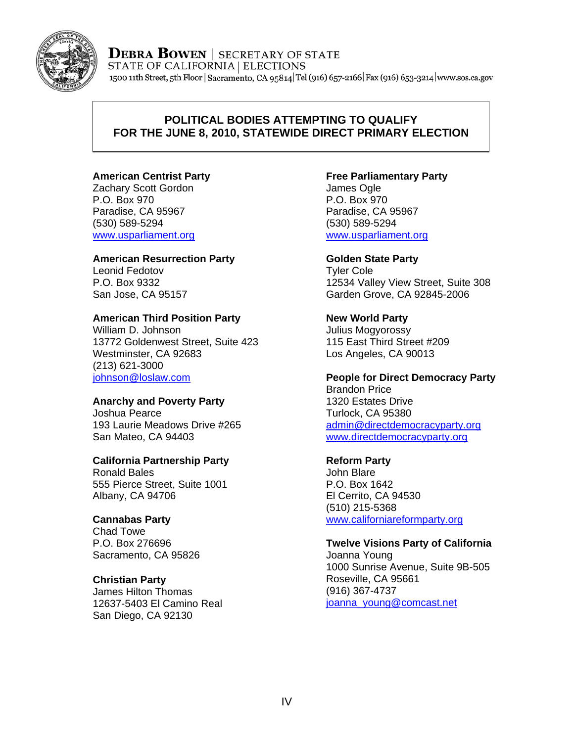

**DEBRA BOWEN** | SECRETARY OF STATE STATE OF CALIFORNIA | ELECTIONS 1500 11th Street, 5th Floor | Sacramento, CA 95814 Tel (916) 657-2166 | Fax (916) 653-3214 | www.sos.ca.gov

## **POLITICAL BODIES ATTEMPTING TO QUALIFY FOR THE JUNE 8, 2010, STATEWIDE DIRECT PRIMARY ELECTION**

## **American Centrist Party**

Zachary Scott Gordon P.O. Box 970 Paradise, CA 95967 (530) 589-5294 www.usparliament.org

### **American Resurrection Party**

Leonid Fedotov P.O. Box 9332 San Jose, CA 95157

### **American Third Position Party**

William D. Johnson 13772 Goldenwest Street, Suite 423 Westminster, CA 92683 (213) 621-3000 johnson@loslaw.com

## **Anarchy and Poverty Party**

Joshua Pearce 193 Laurie Meadows Drive #265 San Mateo, CA 94403

## **California Partnership Party**

Ronald Bales 555 Pierce Street, Suite 1001 Albany, CA 94706

## **Cannabas Party**

Chad Towe P.O. Box 276696 Sacramento, CA 95826

#### **Christian Party**

James Hilton Thomas 12637-5403 El Camino Real San Diego, CA 92130

## **Free Parliamentary Party**

James Ogle P.O. Box 970 Paradise, CA 95967 (530) 589-5294 www.usparliament.org

#### **Golden State Party**

Tyler Cole 12534 Valley View Street, Suite 308 Garden Grove, CA 92845-2006

## **New World Party**

Julius Mogyorossy 115 East Third Street #209 Los Angeles, CA 90013

**People for Direct Democracy Party**  Brandon Price 1320 Estates Drive Turlock, CA 95380 admin@directdemocracyparty.org www.directdemocracyparty.org

#### **Reform Party**

John Blare P.O. Box 1642 El Cerrito, CA 94530 (510) 215-5368 www.californiareformparty.org

#### **Twelve Visions Party of California** Joanna Young

1000 Sunrise Avenue, Suite 9B-505 Roseville, CA 95661 (916) 367-4737 joanna\_young@comcast.net